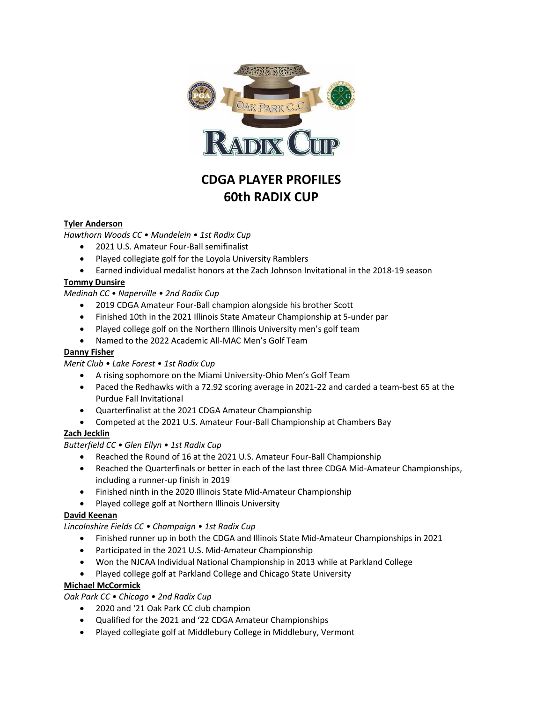

# **CDGA PLAYER PROFILES 60th RADIX CUP**

# **Tyler Anderson**

*Hawthorn Woods CC • Mundelein • 1st Radix Cup*

- 2021 U.S. Amateur Four-Ball semifinalist
- Played collegiate golf for the Loyola University Ramblers
- Earned individual medalist honors at the Zach Johnson Invitational in the 2018-19 season

### **Tommy Dunsire**

*Medinah CC • Naperville • 2nd Radix Cup*

- 2019 CDGA Amateur Four-Ball champion alongside his brother Scott
- Finished 10th in the 2021 Illinois State Amateur Championship at 5-under par
- Played college golf on the Northern Illinois University men's golf team
- Named to the 2022 Academic All-MAC Men's Golf Team

## **Danny Fisher**

*Merit Club • Lake Forest • 1st Radix Cup*

- A rising sophomore on the Miami University-Ohio Men's Golf Team
- Paced the Redhawks with a 72.92 scoring average in 2021-22 and carded a team-best 65 at the Purdue Fall Invitational
- Quarterfinalist at the 2021 CDGA Amateur Championship
- Competed at the 2021 U.S. Amateur Four-Ball Championship at Chambers Bay

# **Zach Jecklin**

#### *Butterfield CC • Glen Ellyn • 1st Radix Cup*

- Reached the Round of 16 at the 2021 U.S. Amateur Four-Ball Championship
- Reached the Quarterfinals or better in each of the last three CDGA Mid-Amateur Championships, including a runner-up finish in 2019
- Finished ninth in the 2020 Illinois State Mid-Amateur Championship
- Played college golf at Northern Illinois University

#### **David Keenan**

*Lincolnshire Fields CC • Champaign • 1st Radix Cup*

- Finished runner up in both the CDGA and Illinois State Mid-Amateur Championships in 2021
- Participated in the 2021 U.S. Mid-Amateur Championship
- Won the NJCAA Individual National Championship in 2013 while at Parkland College
- Played college golf at Parkland College and Chicago State University

# **Michael McCormick**

*Oak Park CC • Chicago • 2nd Radix Cup*

- 2020 and '21 Oak Park CC club champion
- Qualified for the 2021 and '22 CDGA Amateur Championships
- Played collegiate golf at Middlebury College in Middlebury, Vermont